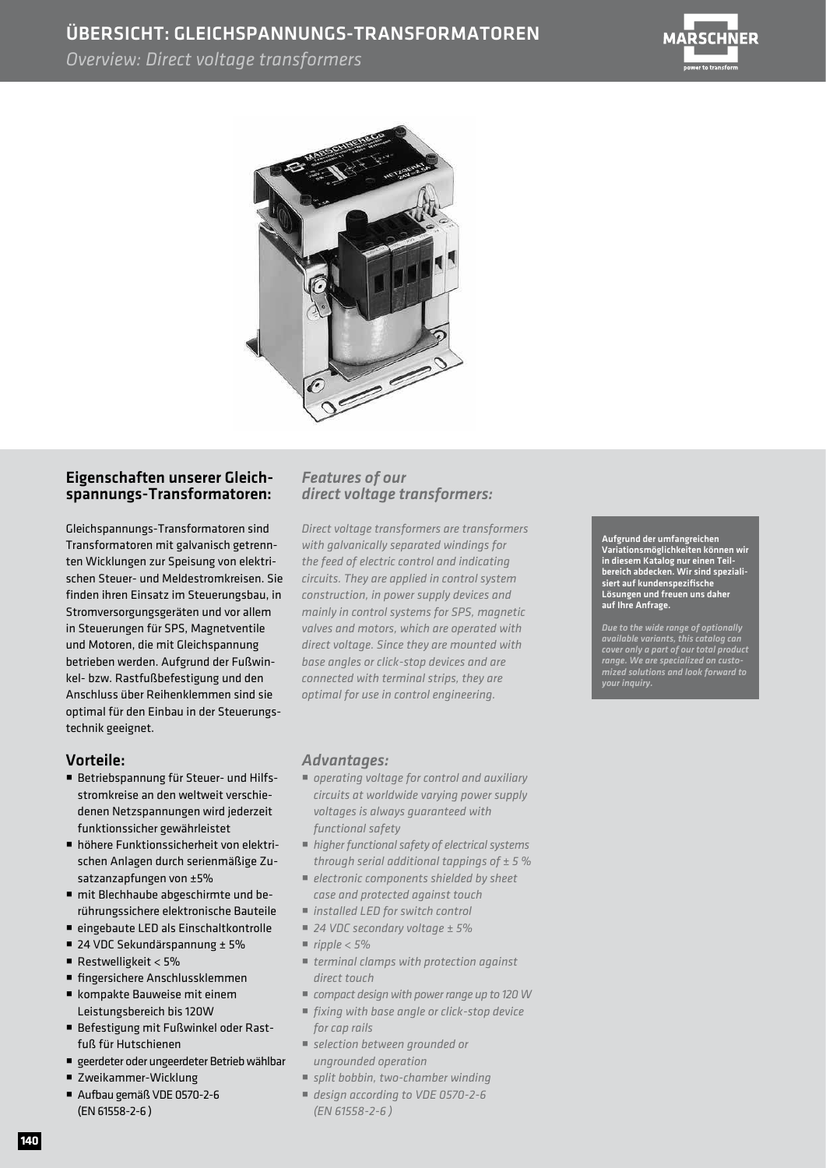### ÜBERSICHT: GLEICHSPANNUNGS-TRANSFORMATOREN

*Overview: Direct voltage transformers*





#### Eigenschaften unserer Gleichspannungs-Transformatoren:

Gleichspannungs-Transformatoren sind Transformatoren mit galvanisch getrennten Wicklungen zur Speisung von elektrischen Steuer- und Meldestromkreisen. Sie finden ihren Einsatz im Steuerungsbau, in Stromversorgungsgeräten und vor allem in Steuerungen für SPS, Magnetventile und Motoren, die mit Gleichspannung betrieben werden. Aufgrund der Fußwinkel- bzw. Rastfußbefestigung und den Anschluss über Reihenklemmen sind sie optimal für den Einbau in der Steuerungstechnik geeignet.

#### Vorteile:

- Betriebspannung für Steuer- und Hilfs stromkreise an den weltweit verschie denen Netzspannungen wird jederzeit funktionssicher gewährleistet
- höhere Funktionssicherheit von elektri schen Anlagen durch serienmäßige Zu satzanzapfungen von ±5%
- mit Blechhaube abgeschirmte und be rührungssichere elektronische Bauteile
- eingebaute LED als Einschaltkontrolle
- 24 VDC Sekundärspannung ± 5%
- Restwelligkeit <  $5%$
- fingersichere Anschlussklemmen
- kompakte Bauweise mit einem Leistungsbereich bis 120W
- Befestigung mit Fußwinkel oder Rast fuß für Hutschienen
- geerdeter oder ungeerdeter Betrieb wählbar
- Zweikammer-Wicklung
- Aufbau gemäß VDE 0570-2-6 (EN 61558-2-6 )

#### *Features of our direct voltage transformers:*

*Direct voltage transformers are transformers with galvanically separated windings for the feed of electric control and indicating circuits. They are applied in control system construction, in power supply devices and mainly in control systems for SPS, magnetic valves and motors, which are operated with direct voltage. Since they are mounted with base angles or click-stop devices and are connected with terminal strips, they are optimal for use in control engineering.*

#### *Advantages:*

- *operating voltage for control and auxiliary circuits at worldwide varying power supply voltages is always guaranteed with functional safety*
- *higher functional safety of electrical systems through serial additional tappings of ± 5 %*
- *electronic components shielded by sheet case and protected against touch*
- *installed LED for switch control*
- *24 VDC secondary voltage ± 5%*
- $\blacksquare$  *ripple < 5%*
- *terminal clamps with protection against direct touch*
- *compact design with power range up to 120 W*
- *fixing with base angle or click-stop device for cap rails*
- *selection between grounded or ungrounded operation*
- *split bobbin, two-chamber winding*
- *design according to VDE 0570-2-6 (EN 61558-2-6 )*

Aufgrund der umfangreichen Variationsmöglichkeiten können wir in diesem Katalog nur einen Teilbereich abdecken. Wir sind spezialisiert auf kundenspezifische Lösungen und freuen uns daher auf Ihre Anfrage.

*Due to the wide range of optionally available variants, this catalog can cover only a part of our total product range. We are specialized on customized solutions and look forward to your inquiry.*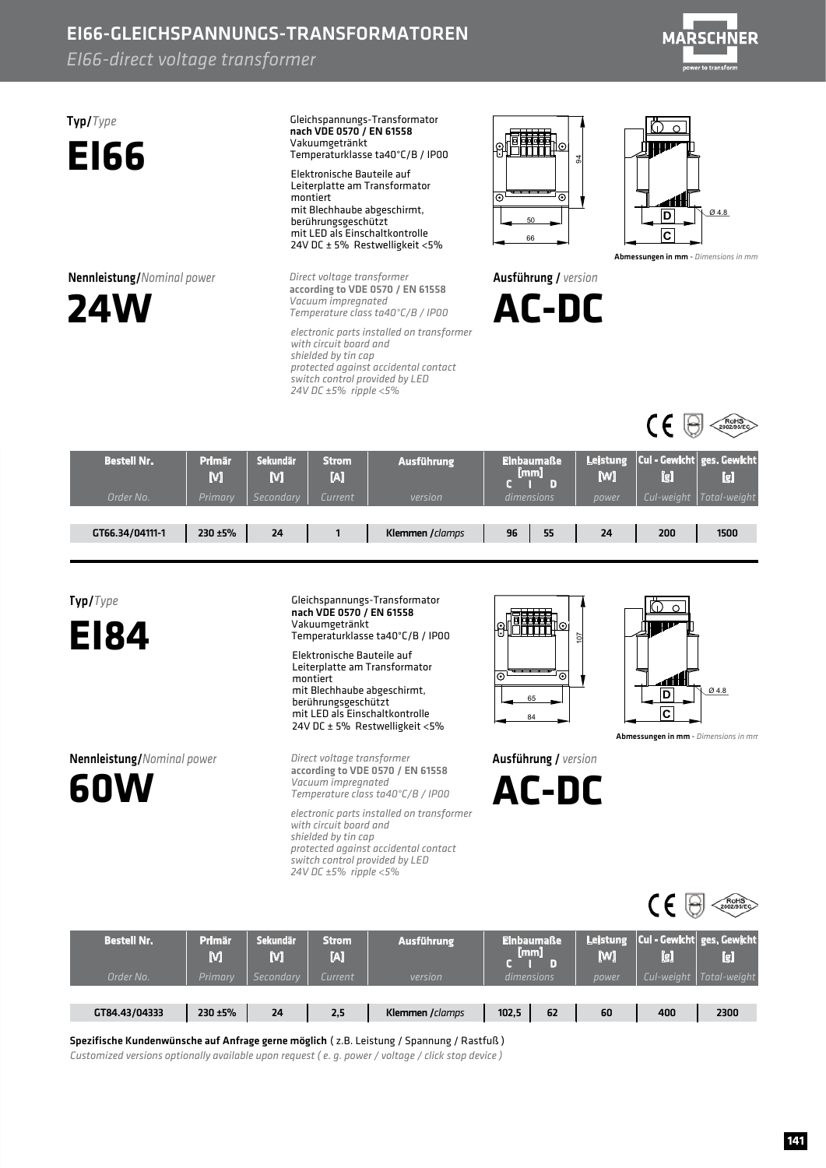### EI66-GLEICHSPANNUNGS-TRANSFORMATOREN

*EI66-direct voltage transformer* 



Typ/*Type* **EI66**

**Nennleistung/**Nominal power



Gleichspannungs-Transformator Vakuumgetränkt Temperaturklasse ta40°C/B / IP00 nach VDE 0570 / EN 61558 Elektronische Bauteile auf Leiterplatte am Transformator

montiert mit Blechhaube abgeschirmt, berührungsgeschützt mit LED als Einschaltkontrolle 24V DC ± 5% Restwelligkeit <5%

**Direct voltage transformer** *Vacuumimpregnated Temperatureclassta40°C/B/IP00* according to VDE 0570 / EN 61558

*electronicpartsinstalledontransformer* with circuit board and shielded by tin cap *protectedagainstaccidentalcontact switch control provided by LED 24VDC±5%ripple<5%*



Ausführung/ *version*

**AC-DC**



Abmessungen in mm - *Dimensions in mm* 



| <b>Bestell Nr.</b><br>Order No. | Primär<br>M<br><b>Primary</b> | <b>Sekundär</b><br>M<br>Secondary | <b>Strom</b><br>И<br>Current | <b>Ausführung</b><br>version | <b>Einbaumaße</b><br>[mm]<br>dimensions | [W]<br>power | lel<br>Cul-weight | Leistung Cul - Gewicht ges. Gewicht<br>[g]<br>Total-weight |
|---------------------------------|-------------------------------|-----------------------------------|------------------------------|------------------------------|-----------------------------------------|--------------|-------------------|------------------------------------------------------------|
| GT66.34/04111-1                 | 230 ±5%                       | 24                                |                              | Klemmen / clamps             | 96<br>55                                | 24           | 200               | 1500                                                       |



**EI84**

**60W**

Nennleistung/*Nominalpower*

Vakuumgetränkt Temperaturklasse ta40°C/B / IP00 Elektronische Bauteile auf Leiterplatte am Transformator montiert mit Blechhaube abgeschirmt, berührungsgeschützt mit LED als Einschaltkontrolle 24V DC ± 5% Restwelligkeit <5%

Gleichspannungs-Transformator

nach VDE 0570 / EN 61558

**Direct voltage transformer** *Vacuumimpregnated Temperatureclassta40°C/B/IP00* according to VDE 0570 / EN 61558

*electronicpartsinstalledontransformer* with circuit board and shielded by tin cap *protected against accidental contact switch control provided by LED 24VDC±5%ripple<5%*





Abmessungen in mm - *Dimensions in mm* 

 $\sim$ 

Ausführung/ *version*

**AC-DC**

|                    |                    |               |                   |                   |                           |                 | ¥                                                     | $RoHS$ <sub>2002/95/EC</sub> |
|--------------------|--------------------|---------------|-------------------|-------------------|---------------------------|-----------------|-------------------------------------------------------|------------------------------|
| <b>Bestell Nr.</b> | <b>Primar</b><br>M | Sekundär<br>M | <b>Strom</b><br>M | <b>Ausführung</b> | <b>Einbaumaße</b><br>[mm] | Leistung<br>[W] | $^{\prime}$ Cul - Gewicht $\mid$ ges. Gewicht,<br>[g] | [g]                          |
| Order No.          | Primary            | Secondary     | Current           | version           | dimensions                | power           | Cul-weight                                            | Total-weight                 |
|                    |                    |               |                   |                   |                           |                 |                                                       |                              |
| GT84.43/04333      | 230 ±5%            | 24            | 2,5               | Klemmen / clamps  | 62<br>102,5               | 60              | 400                                                   | 2300                         |

Spezifische Kundenwünsche auf Anfrage gerne möglich ( z.B. Leistung / Spannung / Rastfuß)

*Customized versions optionally available upon request (e. q. power / voltage / click stop device)*